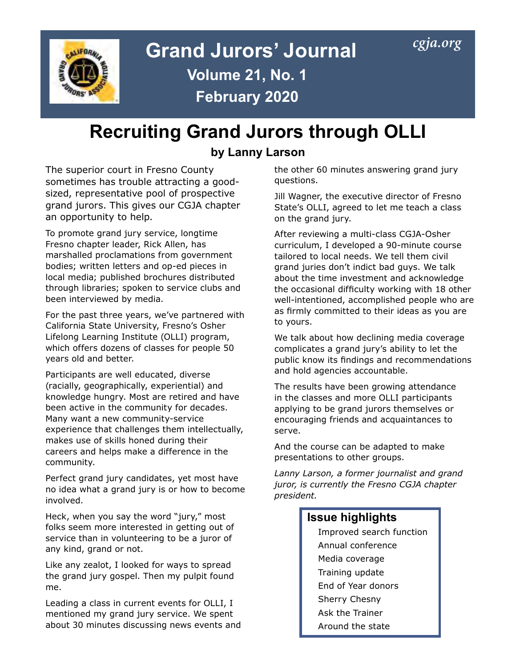

# **Grand Jurors' Journal** *[cgja.org](http://cgja.org)* **Volume 21, No. 1 February 2020**

## **Recruiting Grand Jurors through OLLI**

### **by Lanny Larson**

The superior court in Fresno County sometimes has trouble attracting a goodsized, representative pool of prospective grand jurors. This gives our CGJA chapter an opportunity to help.

To promote grand jury service, longtime Fresno chapter leader, Rick Allen, has marshalled proclamations from government bodies; written letters and op-ed pieces in local media; published brochures distributed through libraries; spoken to service clubs and been interviewed by media.

For the past three years, we've partnered with California State University, Fresno's Osher Lifelong Learning Institute (OLLI) program, which offers dozens of classes for people 50 years old and better.

Participants are well educated, diverse (racially, geographically, experiential) and knowledge hungry. Most are retired and have been active in the community for decades. Many want a new community-service experience that challenges them intellectually, makes use of skills honed during their careers and helps make a difference in the community.

Perfect grand jury candidates, yet most have no idea what a grand jury is or how to become involved.

Heck, when you say the word "jury," most folks seem more interested in getting out of service than in volunteering to be a juror of any kind, grand or not.

Like any zealot, I looked for ways to spread the grand jury gospel. Then my pulpit found me.

Leading a class in current events for OLLI, I mentioned my grand jury service. We spent about 30 minutes discussing news events and the other 60 minutes answering grand jury questions.

Jill Wagner, the executive director of Fresno State's OLLI, agreed to let me teach a class on the grand jury.

After reviewing a multi-class CGJA-Osher curriculum, I developed a 90-minute course tailored to local needs. We tell them civil grand juries don't indict bad guys. We talk about the time investment and acknowledge the occasional difficulty working with 18 other well-intentioned, accomplished people who are as firmly committed to their ideas as you are to yours.

We talk about how declining media coverage complicates a grand jury's ability to let the public know its findings and recommendations and hold agencies accountable.

The results have been growing attendance in the classes and more OLLI participants applying to be grand jurors themselves or encouraging friends and acquaintances to serve.

And the course can be adapted to make presentations to other groups.

*Lanny Larson, a former journalist and grand juror, is currently the Fresno CGJA chapter president.*

### **Issue highlights**

Improved search function Annual conference Media coverage Training update End of Year donors Sherry Chesny Ask the Trainer Around the state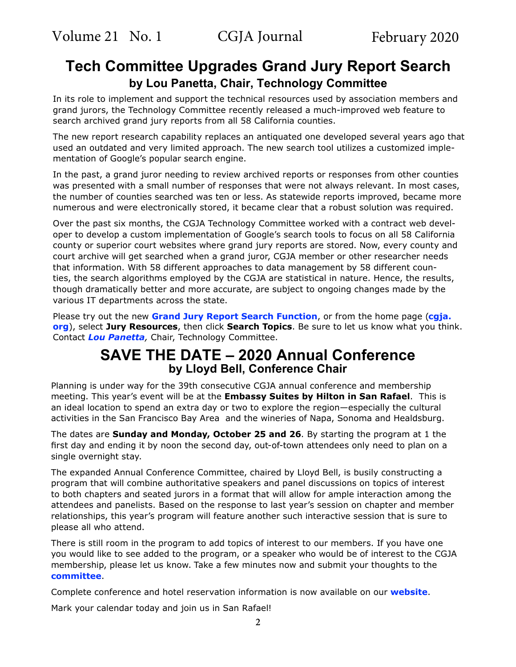## **Tech Committee Upgrades Grand Jury Report Search by Lou Panetta, Chair, Technology Committee**

In its role to implement and support the technical resources used by association members and grand jurors, the Technology Committee recently released a much-improved web feature to search archived grand jury reports from all 58 California counties.

The new report research capability replaces an antiquated one developed several years ago that used an outdated and very limited approach. The new search tool utilizes a customized implementation of Google's popular search engine.

In the past, a grand juror needing to review archived reports or responses from other counties was presented with a small number of responses that were not always relevant. In most cases, the number of counties searched was ten or less. As statewide reports improved, became more numerous and were electronically stored, it became clear that a robust solution was required.

Over the past six months, the CGJA Technology Committee worked with a contract web developer to develop a custom implementation of Google's search tools to focus on all 58 California county or superior court websites where grand jury reports are stored. Now, every county and court archive will get searched when a grand juror, CGJA member or other researcher needs that information. With 58 different approaches to data management by 58 different counties, the search algorithms employed by the CGJA are statistical in nature. Hence, the results, though dramatically better and more accurate, are subject to ongoing changes made by the various IT departments across the state.

Please try out the new **[Grand Jury Report Search Function](https://cgja.org/search-grand-jury-report-topics)**, or from the home page (**[cgja.](https://cgja.org/) [org](https://cgja.org/)**), select **Jury Resources**, then click **Search Topics**. Be sure to let us know what you think. Contact *[Lou Panetta](mailto:mailto:lpanetta%40yahoo.com%3FSUBJECT%3DCGJA%20Tech?subject=),* Chair, Technology Committee.

## **SAVE THE DATE – 2020 Annual Conference by Lloyd Bell, Conference Chair**

Planning is under way for the 39th consecutive CGJA annual conference and membership meeting. This year's event will be at the **Embassy Suites by Hilton in San Rafael**. This is an ideal location to spend an extra day or two to explore the region—especially the cultural activities in the San Francisco Bay Area and the wineries of Napa, Sonoma and Healdsburg.

The dates are **Sunday and Monday, October 25 and 26**. By starting the program at 1 the first day and ending it by noon the second day, out-of-town attendees only need to plan on a single overnight stay.

The expanded Annual Conference Committee, chaired by Lloyd Bell, is busily constructing a program that will combine authoritative speakers and panel discussions on topics of interest to both chapters and seated jurors in a format that will allow for ample interaction among the attendees and panelists. Based on the response to last year's session on chapter and member relationships, this year's program will feature another such interactive session that is sure to please all who attend.

There is still room in the program to add topics of interest to our members. If you have one you would like to see added to the program, or a speaker who would be of interest to the CGJA membership, please let us know. Take a few minutes now and submit your thoughts to the **[committee](mailto:lloyd.bell@comcast.net?SUBJECT= CGJA conference)**.

Complete conference and hotel reservation information is now available on our **[website](https://cgja.org/annual-conference)**.

Mark your calendar today and join us in San Rafael!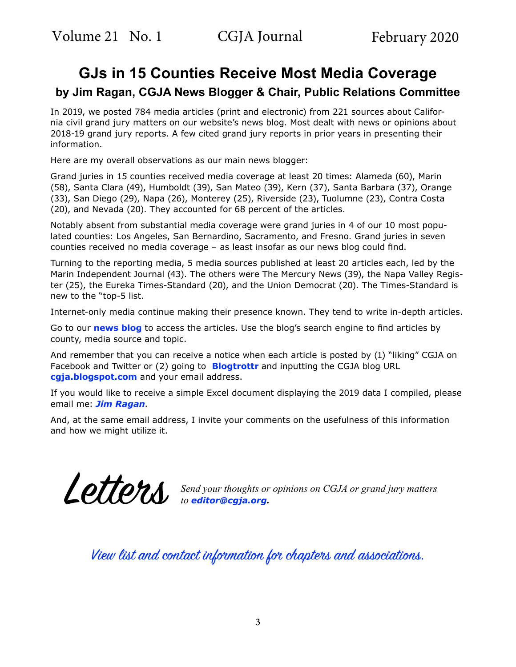## **GJs in 15 Counties Receive Most Media Coverage by Jim Ragan, CGJA News Blogger & Chair, Public Relations Committee**

In 2019, we posted 784 media articles (print and electronic) from 221 sources about California civil grand jury matters on our website's news blog. Most dealt with news or opinions about 2018-19 grand jury reports. A few cited grand jury reports in prior years in presenting their information.

Here are my overall observations as our main news blogger:

Grand juries in 15 counties received media coverage at least 20 times: Alameda (60), Marin (58), Santa Clara (49), Humboldt (39), San Mateo (39), Kern (37), Santa Barbara (37), Orange (33), San Diego (29), Napa (26), Monterey (25), Riverside (23), Tuolumne (23), Contra Costa (20), and Nevada (20). They accounted for 68 percent of the articles.

Notably absent from substantial media coverage were grand juries in 4 of our 10 most populated counties: Los Angeles, San Bernardino, Sacramento, and Fresno. Grand juries in seven counties received no media coverage – as least insofar as our news blog could find.

Turning to the reporting media, 5 media sources published at least 20 articles each, led by the Marin Independent Journal (43). The others were The Mercury News (39), the Napa Valley Register (25), the Eureka Times-Standard (20), and the Union Democrat (20). The Times-Standard is new to the "top-5 list.

Internet-only media continue making their presence known. They tend to write in-depth articles.

Go to our **[news blog](http://cgja.blogspot.com/)** to access the articles. Use the blog's search engine to find articles by county, media source and topic.

And remember that you can receive a notice when each article is posted by (1) "liking" CGJA on Facebook and Twitter or (2) going to **[Blogtrottr](https://blogtrottr.com/)** and inputting the CGJA blog URL **[cgja.blog](http://cgjablogspot.com)[spot.com](http://cgja.blogspot.com)** and your email address.

If you would like to receive a simple Excel document displaying the 2019 data I compiled, please email me: *[Jim Ragan](mailto:mailto:jimragan%40charter.net%3FSUBJECT%3D%20CGJA%20blog?subject=)*.

And, at the same email address, I invite your comments on the usefulness of this information and how we might utilize it.

Letters *Send your thoughts or opinions on CGJA or grand jury matters to [editor@cgja.org](mailto:mailto:editor%40cgja.org%3FSUBJECT%3DCGJA%20mail?subject=)***.**

[View list and contact information for chapters and associations.](https://cgja.org/chapters-and-associations)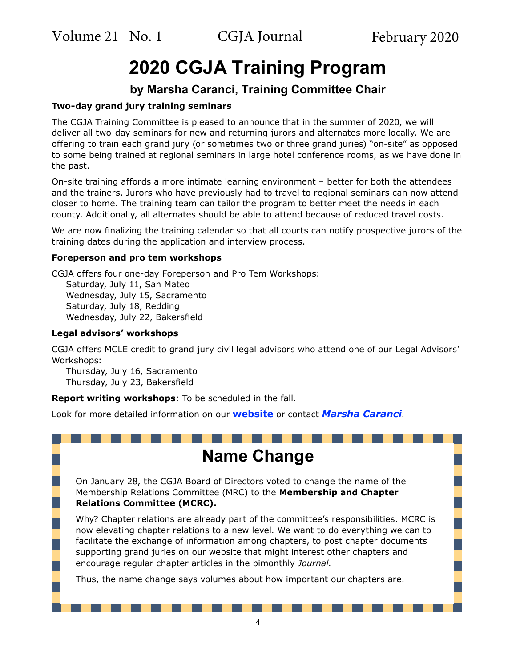Volume 21 No. 1 CGJA Journal February 2020

# **2020 CGJA Training Program**

### **by Marsha Caranci, Training Committee Chair**

#### **Two-day grand jury training seminars**

The CGJA Training Committee is pleased to announce that in the summer of 2020, we will deliver all two-day seminars for new and returning jurors and alternates more locally. We are offering to train each grand jury (or sometimes two or three grand juries) "on-site" as opposed to some being trained at regional seminars in large hotel conference rooms, as we have done in the past.

On-site training affords a more intimate learning environment – better for both the attendees and the trainers. Jurors who have previously had to travel to regional seminars can now attend closer to home. The training team can tailor the program to better meet the needs in each county. Additionally, all alternates should be able to attend because of reduced travel costs.

We are now finalizing the training calendar so that all courts can notify prospective jurors of the training dates during the application and interview process.

#### **Foreperson and pro tem workshops**

CGJA offers four one-day Foreperson and Pro Tem Workshops: Saturday, July 11, San Mateo Wednesday, July 15, Sacramento Saturday, July 18, Redding Wednesday, July 22, Bakersfield

#### **Legal advisors' workshops**

CGJA offers MCLE credit to grand jury civil legal advisors who attend one of our Legal Advisors' Workshops:

Thursday, July 16, Sacramento Thursday, July 23, Bakersfield

**Report writing workshops**: To be scheduled in the fall.

Look for more detailed information on our **[website](https://cgja.org/cgja-training)** or contact *[Marsha Caranci](mailto:mailto:cgjatraining%40cgja.org%3FSUBJECT%3DCGJA%20training?subject=).*

# **Name Change**

On January 28, the CGJA Board of Directors voted to change the name of the Membership Relations Committee (MRC) to the **Membership and Chapter Relations Committee (MCRC).**

Why? Chapter relations are already part of the committee's responsibilities. MCRC is now elevating chapter relations to a new level. We want to do everything we can to facilitate the exchange of information among chapters, to post chapter documents supporting grand juries on our website that might interest other chapters and encourage regular chapter articles in the bimonthly *Journal*.

Thus, the name change says volumes about how important our chapters are.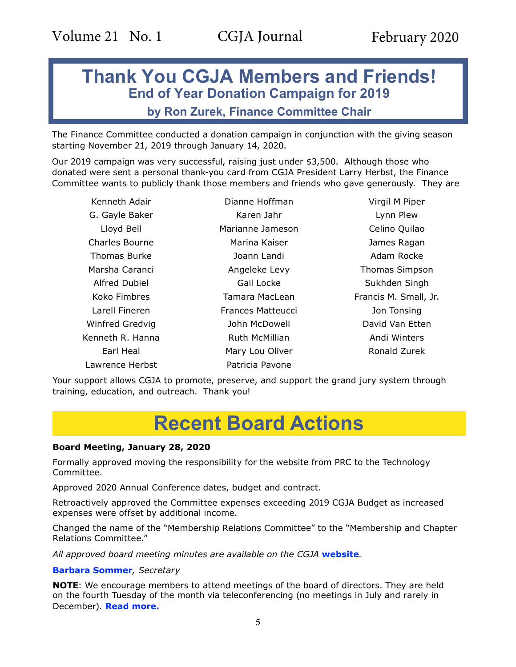## **Thank You CGJA Members and Friends! End of Year Donation Campaign for 2019**

### **by Ron Zurek, Finance Committee Chair**

The Finance Committee conducted a donation campaign in conjunction with the giving season starting November 21, 2019 through January 14, 2020.

Our 2019 campaign was very successful, raising just under \$3,500. Although those who donated were sent a personal thank-you card from CGJA President Larry Herbst, the Finance Committee wants to publicly thank those members and friends who gave generously. They are

Kenneth Adair Dianne Hoffman Virgil M Piper G. Gayle Baker **Karen Jahr** Karen Jahr Lynn Plew Charles Bourne Marina Kaiser James Ragan Thomas Burke Thomas Burke Joann Landi Adam Rocke Marsha Caranci **Angeleke Levy** Thomas Simpson Alfred Dubiel **Gail Locke** Gail Locke Sukhden Singh Koko Fimbres **Tamara MacLean** Francis M. Small, Jr. Larell Fineren Frances Matteucci Jon Tonsing Winfred Gredvig **Communist Communist Communist Communist Communist Communist Communist Communist Communist Communist Communist Communist Communist Communist Communist Communist Communist Communist Communist Communist Commu** Kenneth R. Hanna **Ruth McMillian** Andi Winters Lawrence Herbst **Patricia Pavone** 

Lloyd Bell Marianne Jameson Celino Quilao Earl Heal **Mary Lou Oliver Mary Lou Oliver Ronald Zurek** 

Your support allows CGJA to promote, preserve, and support the grand jury system through training, education, and outreach. Thank you!

# **Recent Board Actions**

#### **Board Meeting, January 28, 2020**

Formally approved moving the responsibility for the website from PRC to the Technology Committee.

Approved 2020 Annual Conference dates, budget and contract.

Retroactively approved the Committee expenses exceeding 2019 CGJA Budget as increased expenses were offset by additional income.

Changed the name of the "Membership Relations Committee" to the "Membership and Chapter Relations Committee."

*All approved board meeting minutes are available on the CGJA* **[website](https://cgja.org/board-minutes)***.*

#### **[Barbara Sommer](Mailto:basommer@ucdavis.edu?Subject=CGJA secretary)***, Secretary*

**NOTE**: We encourage members to attend meetings of the board of directors. They are held on the fourth Tuesday of the month via teleconferencing (no meetings in July and rarely in December). **[Read more](https://cgja.org/current-agenda).**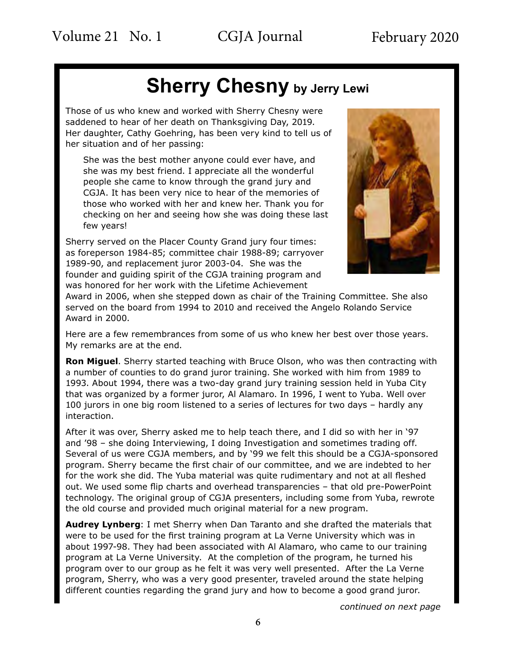# **Sherry Chesny by Jerry Lewi**

Those of us who knew and worked with Sherry Chesny were saddened to hear of her death on Thanksgiving Day, 2019. Her daughter, Cathy Goehring, has been very kind to tell us of her situation and of her passing:

She was the best mother anyone could ever have, and she was my best friend. I appreciate all the wonderful people she came to know through the grand jury and CGJA. It has been very nice to hear of the memories of those who worked with her and knew her. Thank you for checking on her and seeing how she was doing these last few years!

Sherry served on the Placer County Grand jury four times: as foreperson 1984-85; committee chair 1988-89; carryover 1989-90, and replacement juror 2003-04. She was the founder and guiding spirit of the CGJA training program and was honored for her work with the Lifetime Achievement



Award in 2006, when she stepped down as chair of the Training Committee. She also served on the board from 1994 to 2010 and received the Angelo Rolando Service Award in 2000.

Here are a few remembrances from some of us who knew her best over those years. My remarks are at the end.

**Ron Miguel**. Sherry started teaching with Bruce Olson, who was then contracting with a number of counties to do grand juror training. She worked with him from 1989 to 1993. About 1994, there was a two-day grand jury training session held in Yuba City that was organized by a former juror, Al Alamaro. In 1996, I went to Yuba. Well over 100 jurors in one big room listened to a series of lectures for two days – hardly any interaction.

After it was over, Sherry asked me to help teach there, and I did so with her in '97 and '98 – she doing Interviewing, I doing Investigation and sometimes trading off. Several of us were CGJA members, and by '99 we felt this should be a CGJA-sponsored program. Sherry became the first chair of our committee, and we are indebted to her for the work she did. The Yuba material was quite rudimentary and not at all fleshed out. We used some flip charts and overhead transparencies – that old pre-PowerPoint technology. The original group of CGJA presenters, including some from Yuba, rewrote the old course and provided much original material for a new program.

**Audrey Lynberg**: I met Sherry when Dan Taranto and she drafted the materials that were to be used for the first training program at La Verne University which was in about 1997-98. They had been associated with Al Alamaro, who came to our training program at La Verne University. At the completion of the program, he turned his program over to our group as he felt it was very well presented. After the La Verne program, Sherry, who was a very good presenter, traveled around the state helping different counties regarding the grand jury and how to become a good grand juror.

*continued on next page*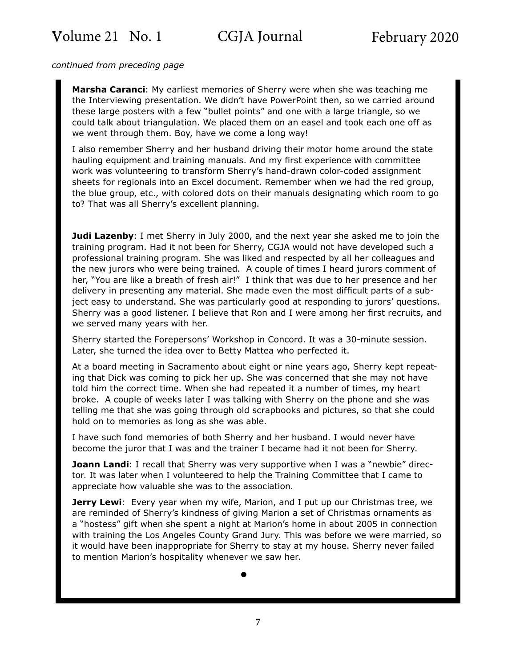*continued from preceding page*

**Marsha Caranci**: My earliest memories of Sherry were when she was teaching me the Interviewing presentation. We didn't have PowerPoint then, so we carried around these large posters with a few "bullet points" and one with a large triangle, so we could talk about triangulation. We placed them on an easel and took each one off as we went through them. Boy, have we come a long way!

I also remember Sherry and her husband driving their motor home around the state hauling equipment and training manuals. And my first experience with committee work was volunteering to transform Sherry's hand-drawn color-coded assignment sheets for regionals into an Excel document. Remember when we had the red group, the blue group, etc., with colored dots on their manuals designating which room to go to? That was all Sherry's excellent planning.

**Judi Lazenby**: I met Sherry in July 2000, and the next year she asked me to join the training program. Had it not been for Sherry, CGJA would not have developed such a professional training program. She was liked and respected by all her colleagues and the new jurors who were being trained. A couple of times I heard jurors comment of her, "You are like a breath of fresh air!" I think that was due to her presence and her delivery in presenting any material. She made even the most difficult parts of a subject easy to understand. She was particularly good at responding to jurors' questions. Sherry was a good listener. I believe that Ron and I were among her first recruits, and we served many years with her.

Sherry started the Forepersons' Workshop in Concord. It was a 30-minute session. Later, she turned the idea over to Betty Mattea who perfected it.

At a board meeting in Sacramento about eight or nine years ago, Sherry kept repeating that Dick was coming to pick her up. She was concerned that she may not have told him the correct time. When she had repeated it a number of times, my heart broke. A couple of weeks later I was talking with Sherry on the phone and she was telling me that she was going through old scrapbooks and pictures, so that she could hold on to memories as long as she was able.

I have such fond memories of both Sherry and her husband. I would never have become the juror that I was and the trainer I became had it not been for Sherry.

**Joann Landi**: I recall that Sherry was very supportive when I was a "newbie" director. It was later when I volunteered to help the Training Committee that I came to appreciate how valuable she was to the association.

**Jerry Lewi**: Every year when my wife, Marion, and I put up our Christmas tree, we are reminded of Sherry's kindness of giving Marion a set of Christmas ornaments as a "hostess" gift when she spent a night at Marion's home in about 2005 in connection with training the Los Angeles County Grand Jury. This was before we were married, so it would have been inappropriate for Sherry to stay at my house. Sherry never failed to mention Marion's hospitality whenever we saw her.

•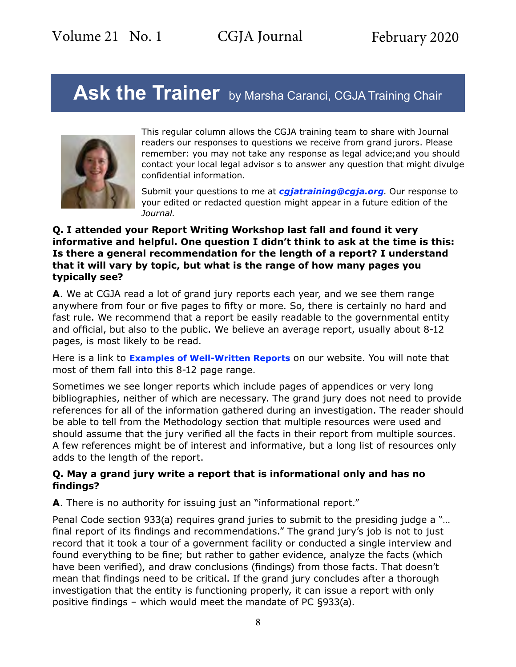# Ask the Trainer by Marsha Caranci, CGJA Training Chair



This regular column allows the CGJA training team to share with Journal readers our responses to questions we receive from grand jurors. Please remember: you may not take any response as legal advice;and you should contact your local legal advisor s to answer any question that might divulge confidential information.

Submit your questions to me at *[cgjatraining@cgja.org](mailto:cgjatraining@cgja.org?SUBJECT=CGJA training)*. Our response to your edited or redacted question might appear in a future edition of the *Journal*.

### **Q. I attended your Report Writing Workshop last fall and found it very informative and helpful. One question I didn't think to ask at the time is this: Is there a general recommendation for the length of a report? I understand that it will vary by topic, but what is the range of how many pages you typically see?**

**A**. We at CGJA read a lot of grand jury reports each year, and we see them range anywhere from four or five pages to fifty or more. So, there is certainly no hard and fast rule. We recommend that a report be easily readable to the governmental entity and official, but also to the public. We believe an average report, usually about 8-12 pages, is most likely to be read.

Here is a link to **[Examples of Well-Written Reports](https://cgja.org/examples-well-written-reports)** on our website. You will note that most of them fall into this 8-12 page range.

Sometimes we see longer reports which include pages of appendices or very long bibliographies, neither of which are necessary. The grand jury does not need to provide references for all of the information gathered during an investigation. The reader should be able to tell from the Methodology section that multiple resources were used and should assume that the jury verified all the facts in their report from multiple sources. A few references might be of interest and informative, but a long list of resources only adds to the length of the report.

### **Q. May a grand jury write a report that is informational only and has no findings?**

**A**. There is no authority for issuing just an "informational report."

Penal Code section 933(a) requires grand juries to submit to the presiding judge a "… final report of its findings and recommendations." The grand jury's job is not to just record that it took a tour of a government facility or conducted a single interview and found everything to be fine; but rather to gather evidence, analyze the facts (which have been verified), and draw conclusions (findings) from those facts. That doesn't mean that findings need to be critical. If the grand jury concludes after a thorough investigation that the entity is functioning properly, it can issue a report with only positive findings – which would meet the mandate of PC §933(a).